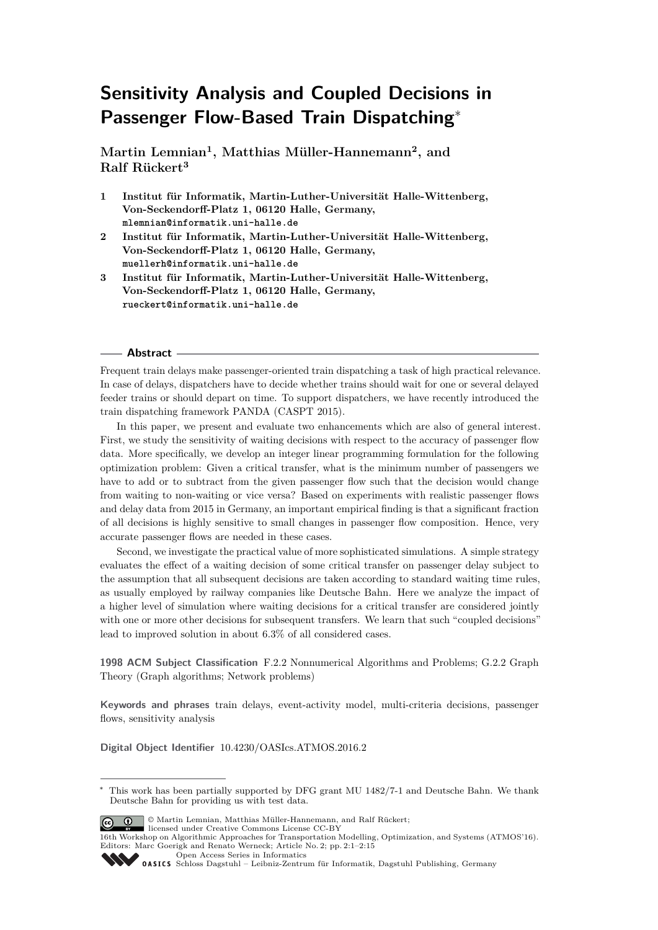# **Sensitivity Analysis and Coupled Decisions in Passenger Flow-Based Train Dispatching**<sup>∗</sup>

**Martin Lemnian<sup>1</sup> , Matthias Müller-Hannemann<sup>2</sup> , and Ralf Rückert<sup>3</sup>**

- **1 Institut für Informatik, Martin-Luther-Universität Halle-Wittenberg, Von-Seckendorff-Platz 1, 06120 Halle, Germany, mlemnian@informatik.uni-halle.de**
- **2 Institut für Informatik, Martin-Luther-Universität Halle-Wittenberg, Von-Seckendorff-Platz 1, 06120 Halle, Germany, muellerh@informatik.uni-halle.de**
- **3 Institut für Informatik, Martin-Luther-Universität Halle-Wittenberg, Von-Seckendorff-Platz 1, 06120 Halle, Germany, rueckert@informatik.uni-halle.de**

#### **Abstract**

Frequent train delays make passenger-oriented train dispatching a task of high practical relevance. In case of delays, dispatchers have to decide whether trains should wait for one or several delayed feeder trains or should depart on time. To support dispatchers, we have recently introduced the train dispatching framework PANDA (CASPT 2015).

In this paper, we present and evaluate two enhancements which are also of general interest. First, we study the sensitivity of waiting decisions with respect to the accuracy of passenger flow data. More specifically, we develop an integer linear programming formulation for the following optimization problem: Given a critical transfer, what is the minimum number of passengers we have to add or to subtract from the given passenger flow such that the decision would change from waiting to non-waiting or vice versa? Based on experiments with realistic passenger flows and delay data from 2015 in Germany, an important empirical finding is that a significant fraction of all decisions is highly sensitive to small changes in passenger flow composition. Hence, very accurate passenger flows are needed in these cases.

Second, we investigate the practical value of more sophisticated simulations. A simple strategy evaluates the effect of a waiting decision of some critical transfer on passenger delay subject to the assumption that all subsequent decisions are taken according to standard waiting time rules, as usually employed by railway companies like Deutsche Bahn. Here we analyze the impact of a higher level of simulation where waiting decisions for a critical transfer are considered jointly with one or more other decisions for subsequent transfers. We learn that such "coupled decisions" lead to improved solution in about 6.3% of all considered cases.

**1998 ACM Subject Classification** F.2.2 Nonnumerical Algorithms and Problems; G.2.2 Graph Theory (Graph algorithms; Network problems)

**Keywords and phrases** train delays, event-activity model, multi-criteria decisions, passenger flows, sensitivity analysis

**Digital Object Identifier** [10.4230/OASIcs.ATMOS.2016.2](http://dx.doi.org/10.4230/OASIcs.ATMOS.2016.2)

© Martin Lemnian, Matthias Müller-Hannemann, and Ralf Rückert; licensed under Creative Commons License CC-BY

16th Workshop on Algorithmic Approaches for Transportation Modelling, Optimization, and Systems (ATMOS'16). Editors: Marc Goerigk and Renato Werneck; Article No. 2; pp. 2:1–2[:15](#page-14-0)

[Open Access Series in Informatics](http://www.dagstuhl.de/oasics/)

<sup>∗</sup> This work has been partially supported by DFG grant MU 1482/7-1 and Deutsche Bahn. We thank Deutsche Bahn for providing us with test data.

[Schloss Dagstuhl – Leibniz-Zentrum für Informatik, Dagstuhl Publishing, Germany](http://www.dagstuhl.de)<br>
1995 – Cassic Schloss Dagstuhl – Leibniz-Zentrum für Informatik, Dagstuhl Publishing, Germany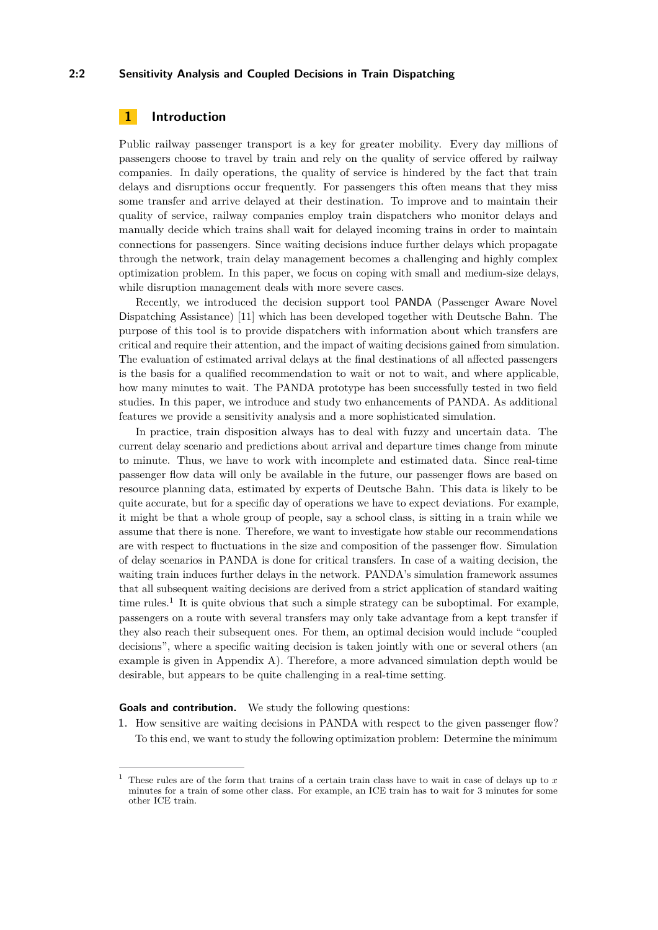### **2:2 Sensitivity Analysis and Coupled Decisions in Train Dispatching**

# **1 Introduction**

Public railway passenger transport is a key for greater mobility. Every day millions of passengers choose to travel by train and rely on the quality of service offered by railway companies. In daily operations, the quality of service is hindered by the fact that train delays and disruptions occur frequently. For passengers this often means that they miss some transfer and arrive delayed at their destination. To improve and to maintain their quality of service, railway companies employ train dispatchers who monitor delays and manually decide which trains shall wait for delayed incoming trains in order to maintain connections for passengers. Since waiting decisions induce further delays which propagate through the network, train delay management becomes a challenging and highly complex optimization problem. In this paper, we focus on coping with small and medium-size delays, while disruption management deals with more severe cases.

Recently, we introduced the decision support tool PANDA (Passenger Aware Novel Dispatching Assistance) [\[11\]](#page-13-0) which has been developed together with Deutsche Bahn. The purpose of this tool is to provide dispatchers with information about which transfers are critical and require their attention, and the impact of waiting decisions gained from simulation. The evaluation of estimated arrival delays at the final destinations of all affected passengers is the basis for a qualified recommendation to wait or not to wait, and where applicable, how many minutes to wait. The PANDA prototype has been successfully tested in two field studies. In this paper, we introduce and study two enhancements of PANDA. As additional features we provide a sensitivity analysis and a more sophisticated simulation.

In practice, train disposition always has to deal with fuzzy and uncertain data. The current delay scenario and predictions about arrival and departure times change from minute to minute. Thus, we have to work with incomplete and estimated data. Since real-time passenger flow data will only be available in the future, our passenger flows are based on resource planning data, estimated by experts of Deutsche Bahn. This data is likely to be quite accurate, but for a specific day of operations we have to expect deviations. For example, it might be that a whole group of people, say a school class, is sitting in a train while we assume that there is none. Therefore, we want to investigate how stable our recommendations are with respect to fluctuations in the size and composition of the passenger flow. Simulation of delay scenarios in PANDA is done for critical transfers. In case of a waiting decision, the waiting train induces further delays in the network. PANDA's simulation framework assumes that all subsequent waiting decisions are derived from a strict application of standard waiting time rules.<sup>[1](#page-1-0)</sup> It is quite obvious that such a simple strategy can be suboptimal. For example, passengers on a route with several transfers may only take advantage from a kept transfer if they also reach their subsequent ones. For them, an optimal decision would include "coupled decisions", where a specific waiting decision is taken jointly with one or several others (an example is given in Appendix [A\)](#page-13-1). Therefore, a more advanced simulation depth would be desirable, but appears to be quite challenging in a real-time setting.

**Goals and contribution.** We study the following questions:

**1.** How sensitive are waiting decisions in PANDA with respect to the given passenger flow? To this end, we want to study the following optimization problem: Determine the minimum

<span id="page-1-0"></span><sup>1</sup> These rules are of the form that trains of a certain train class have to wait in case of delays up to *x* minutes for a train of some other class. For example, an ICE train has to wait for 3 minutes for some other ICE train.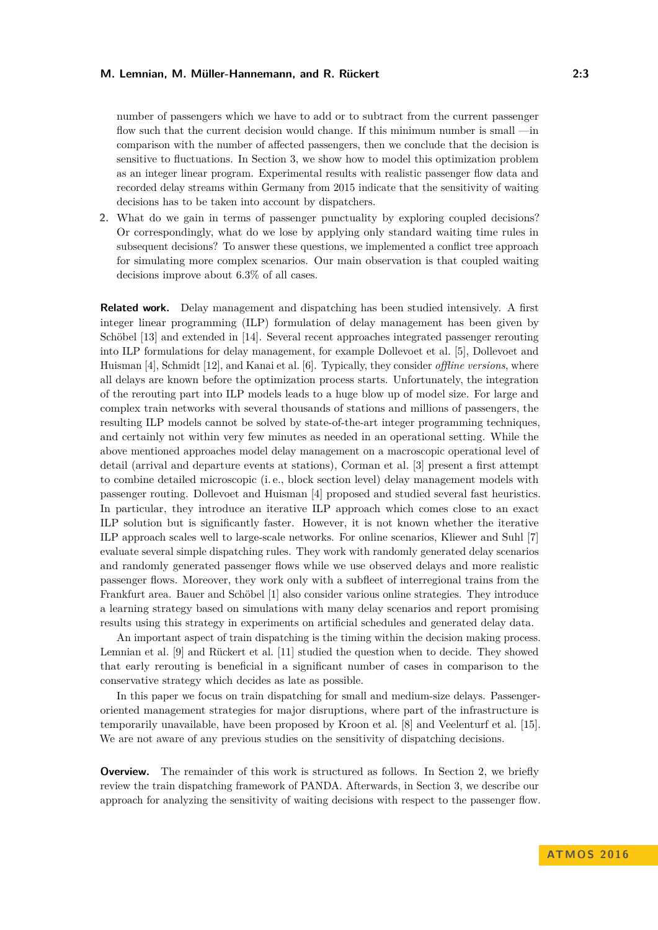number of passengers which we have to add or to subtract from the current passenger flow such that the current decision would change. If this minimum number is small —in comparison with the number of affected passengers, then we conclude that the decision is sensitive to fluctuations. In Section [3,](#page-5-0) we show how to model this optimization problem as an integer linear program. Experimental results with realistic passenger flow data and recorded delay streams within Germany from 2015 indicate that the sensitivity of waiting decisions has to be taken into account by dispatchers.

**2.** What do we gain in terms of passenger punctuality by exploring coupled decisions? Or correspondingly, what do we lose by applying only standard waiting time rules in subsequent decisions? To answer these questions, we implemented a conflict tree approach for simulating more complex scenarios. Our main observation is that coupled waiting decisions improve about 6.3% of all cases.

**Related work.** Delay management and dispatching has been studied intensively. A first integer linear programming (ILP) formulation of delay management has been given by Schöbel [\[13\]](#page-13-2) and extended in [\[14\]](#page-13-3). Several recent approaches integrated passenger rerouting into ILP formulations for delay management, for example Dollevoet et al. [\[5\]](#page-13-4), Dollevoet and Huisman [\[4\]](#page-13-5), Schmidt [\[12\]](#page-13-6), and Kanai et al. [\[6\]](#page-13-7). Typically, they consider *offline versions*, where all delays are known before the optimization process starts. Unfortunately, the integration of the rerouting part into ILP models leads to a huge blow up of model size. For large and complex train networks with several thousands of stations and millions of passengers, the resulting ILP models cannot be solved by state-of-the-art integer programming techniques, and certainly not within very few minutes as needed in an operational setting. While the above mentioned approaches model delay management on a macroscopic operational level of detail (arrival and departure events at stations), Corman et al. [\[3\]](#page-13-8) present a first attempt to combine detailed microscopic (i. e., block section level) delay management models with passenger routing. Dollevoet and Huisman [\[4\]](#page-13-5) proposed and studied several fast heuristics. In particular, they introduce an iterative ILP approach which comes close to an exact ILP solution but is significantly faster. However, it is not known whether the iterative ILP approach scales well to large-scale networks. For online scenarios, Kliewer and Suhl [\[7\]](#page-13-9) evaluate several simple dispatching rules. They work with randomly generated delay scenarios and randomly generated passenger flows while we use observed delays and more realistic passenger flows. Moreover, they work only with a subfleet of interregional trains from the Frankfurt area. Bauer and Schöbel [\[1\]](#page-13-10) also consider various online strategies. They introduce a learning strategy based on simulations with many delay scenarios and report promising results using this strategy in experiments on artificial schedules and generated delay data.

An important aspect of train dispatching is the timing within the decision making process. Lemnian et al. [\[9\]](#page-13-11) and Rückert et al. [\[11\]](#page-13-0) studied the question when to decide. They showed that early rerouting is beneficial in a significant number of cases in comparison to the conservative strategy which decides as late as possible.

In this paper we focus on train dispatching for small and medium-size delays. Passengeroriented management strategies for major disruptions, where part of the infrastructure is temporarily unavailable, have been proposed by Kroon et al. [\[8\]](#page-13-12) and Veelenturf et al. [\[15\]](#page-13-13). We are not aware of any previous studies on the sensitivity of dispatching decisions.

**Overview.** The remainder of this work is structured as follows. In Section [2,](#page-3-0) we briefly review the train dispatching framework of PANDA. Afterwards, in Section [3,](#page-5-0) we describe our approach for analyzing the sensitivity of waiting decisions with respect to the passenger flow.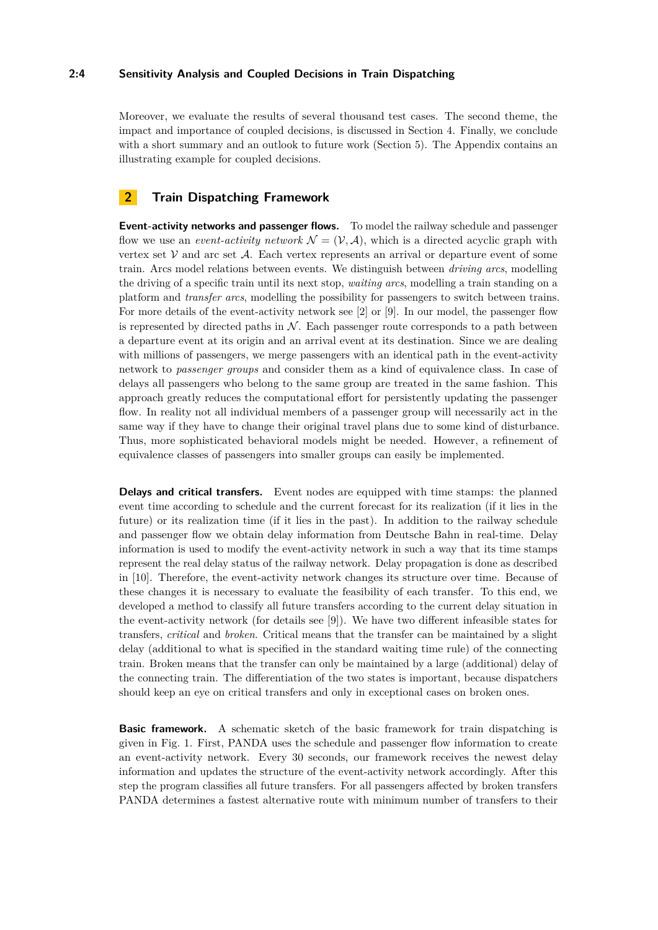### **2:4 Sensitivity Analysis and Coupled Decisions in Train Dispatching**

Moreover, we evaluate the results of several thousand test cases. The second theme, the impact and importance of coupled decisions, is discussed in Section [4.](#page-8-0) Finally, we conclude with a short summary and an outlook to future work (Section [5\)](#page-12-0). The Appendix contains an illustrating example for coupled decisions.

# <span id="page-3-0"></span>**2 Train Dispatching Framework**

**Event-activity networks and passenger flows.** To model the railway schedule and passenger flow we use an *event-activity network*  $\mathcal{N} = (\mathcal{V}, \mathcal{A})$ , which is a directed acyclic graph with vertex set  $V$  and arc set  $A$ . Each vertex represents an arrival or departure event of some train. Arcs model relations between events. We distinguish between *driving arcs*, modelling the driving of a specific train until its next stop, *waiting arcs*, modelling a train standing on a platform and *transfer arcs*, modelling the possibility for passengers to switch between trains. For more details of the event-activity network see [\[2\]](#page-13-14) or [\[9\]](#page-13-11). In our model, the passenger flow is represented by directed paths in  $N$ . Each passenger route corresponds to a path between a departure event at its origin and an arrival event at its destination. Since we are dealing with millions of passengers, we merge passengers with an identical path in the event-activity network to *passenger groups* and consider them as a kind of equivalence class. In case of delays all passengers who belong to the same group are treated in the same fashion. This approach greatly reduces the computational effort for persistently updating the passenger flow. In reality not all individual members of a passenger group will necessarily act in the same way if they have to change their original travel plans due to some kind of disturbance. Thus, more sophisticated behavioral models might be needed. However, a refinement of equivalence classes of passengers into smaller groups can easily be implemented.

**Delays and critical transfers.** Event nodes are equipped with time stamps: the planned event time according to schedule and the current forecast for its realization (if it lies in the future) or its realization time (if it lies in the past). In addition to the railway schedule and passenger flow we obtain delay information from Deutsche Bahn in real-time. Delay information is used to modify the event-activity network in such a way that its time stamps represent the real delay status of the railway network. Delay propagation is done as described in [\[10\]](#page-13-15). Therefore, the event-activity network changes its structure over time. Because of these changes it is necessary to evaluate the feasibility of each transfer. To this end, we developed a method to classify all future transfers according to the current delay situation in the event-activity network (for details see [\[9\]](#page-13-11)). We have two different infeasible states for transfers, *critical* and *broken*. Critical means that the transfer can be maintained by a slight delay (additional to what is specified in the standard waiting time rule) of the connecting train. Broken means that the transfer can only be maintained by a large (additional) delay of the connecting train. The differentiation of the two states is important, because dispatchers should keep an eye on critical transfers and only in exceptional cases on broken ones.

**Basic framework.** A schematic sketch of the basic framework for train dispatching is given in Fig. [1.](#page-4-0) First, PANDA uses the schedule and passenger flow information to create an event-activity network. Every 30 seconds, our framework receives the newest delay information and updates the structure of the event-activity network accordingly. After this step the program classifies all future transfers. For all passengers affected by broken transfers PANDA determines a fastest alternative route with minimum number of transfers to their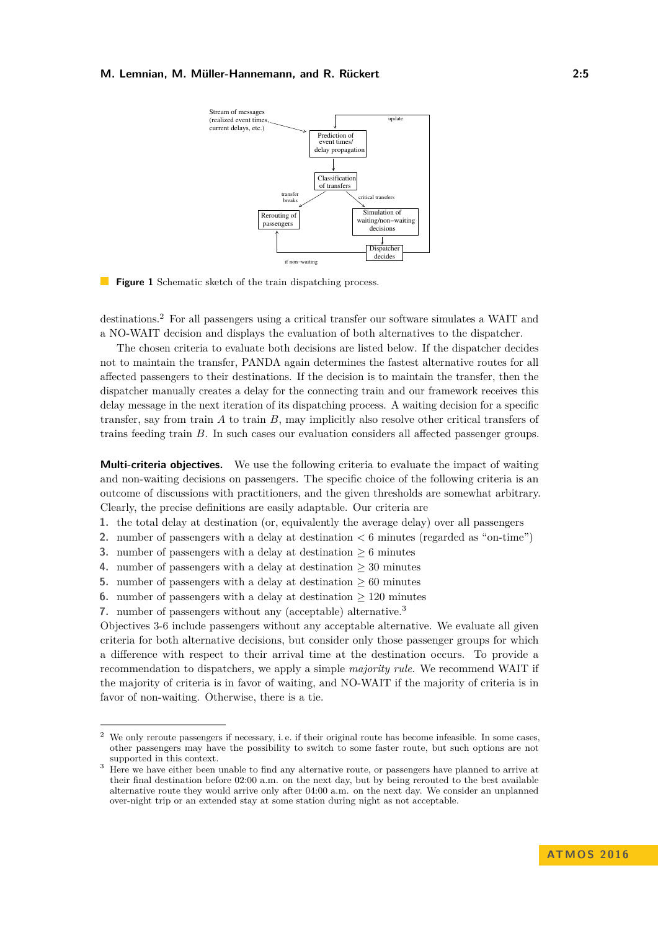<span id="page-4-0"></span>

**Figure 1** Schematic sketch of the train dispatching process.

destinations.[2](#page-4-1) For all passengers using a critical transfer our software simulates a WAIT and a NO-WAIT decision and displays the evaluation of both alternatives to the dispatcher.

The chosen criteria to evaluate both decisions are listed below. If the dispatcher decides not to maintain the transfer, PANDA again determines the fastest alternative routes for all affected passengers to their destinations. If the decision is to maintain the transfer, then the dispatcher manually creates a delay for the connecting train and our framework receives this delay message in the next iteration of its dispatching process. A waiting decision for a specific transfer, say from train *A* to train *B*, may implicitly also resolve other critical transfers of trains feeding train *B*. In such cases our evaluation considers all affected passenger groups.

**Multi-criteria objectives.** We use the following criteria to evaluate the impact of waiting and non-waiting decisions on passengers. The specific choice of the following criteria is an outcome of discussions with practitioners, and the given thresholds are somewhat arbitrary. Clearly, the precise definitions are easily adaptable. Our criteria are

- **1.** the total delay at destination (or, equivalently the average delay) over all passengers
- **2.** number of passengers with a delay at destination *<* 6 minutes (regarded as "on-time")
- **3.** number of passengers with a delay at destination ≥ 6 minutes
- **4.** number of passengers with a delay at destination ≥ 30 minutes
- **5.** number of passengers with a delay at destination  $\geq 60$  minutes
- **6.** number of passengers with a delay at destination  $\geq 120$  minutes
- **7.** number of passengers without any (acceptable) alternative.[3](#page-4-2)

Objectives 3-6 include passengers without any acceptable alternative. We evaluate all given criteria for both alternative decisions, but consider only those passenger groups for which a difference with respect to their arrival time at the destination occurs. To provide a recommendation to dispatchers, we apply a simple *majority rule*. We recommend WAIT if the majority of criteria is in favor of waiting, and NO-WAIT if the majority of criteria is in favor of non-waiting. Otherwise, there is a tie.

<span id="page-4-1"></span><sup>&</sup>lt;sup>2</sup> We only reroute passengers if necessary, i.e. if their original route has become infeasible. In some cases, other passengers may have the possibility to switch to some faster route, but such options are not supported in this context.

<span id="page-4-2"></span><sup>&</sup>lt;sup>3</sup> Here we have either been unable to find any alternative route, or passengers have planned to arrive at their final destination before 02:00 a.m. on the next day, but by being rerouted to the best available alternative route they would arrive only after 04:00 a.m. on the next day. We consider an unplanned over-night trip or an extended stay at some station during night as not acceptable.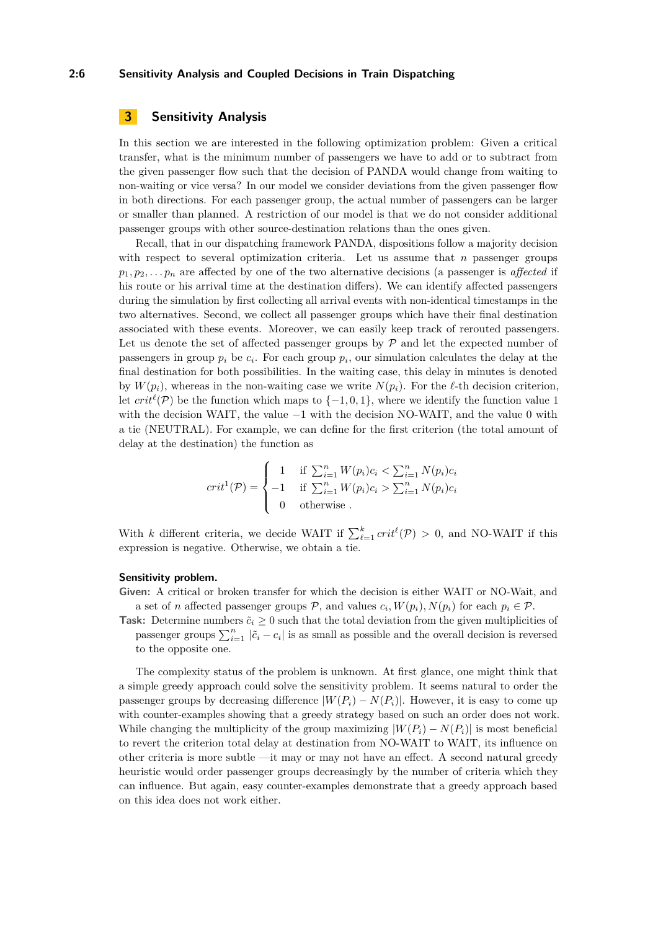#### **2:6 Sensitivity Analysis and Coupled Decisions in Train Dispatching**

# <span id="page-5-0"></span>**3 Sensitivity Analysis**

In this section we are interested in the following optimization problem: Given a critical transfer, what is the minimum number of passengers we have to add or to subtract from the given passenger flow such that the decision of PANDA would change from waiting to non-waiting or vice versa? In our model we consider deviations from the given passenger flow in both directions. For each passenger group, the actual number of passengers can be larger or smaller than planned. A restriction of our model is that we do not consider additional passenger groups with other source-destination relations than the ones given.

Recall, that in our dispatching framework PANDA, dispositions follow a majority decision with respect to several optimization criteria. Let us assume that  $n$  passenger groups  $p_1, p_2, \ldots, p_n$  are affected by one of the two alternative decisions (a passenger is *affected* if his route or his arrival time at the destination differs). We can identify affected passengers during the simulation by first collecting all arrival events with non-identical timestamps in the two alternatives. Second, we collect all passenger groups which have their final destination associated with these events. Moreover, we can easily keep track of rerouted passengers. Let us denote the set of affected passenger groups by  $P$  and let the expected number of passengers in group  $p_i$  be  $c_i$ . For each group  $p_i$ , our simulation calculates the delay at the final destination for both possibilities. In the waiting case, this delay in minutes is denoted by  $W(p_i)$ , whereas in the non-waiting case we write  $N(p_i)$ . For the  $\ell$ -th decision criterion, let  $crit^{\ell}(\mathcal{P})$  be the function which maps to  $\{-1,0,1\}$ , where we identify the function value 1 with the decision WAIT, the value −1 with the decision NO-WAIT, and the value 0 with a tie (NEUTRAL). For example, we can define for the first criterion (the total amount of delay at the destination) the function as

$$
crit^{1}(\mathcal{P}) = \begin{cases} 1 & \text{if } \sum_{i=1}^{n} W(p_{i})c_{i} < \sum_{i=1}^{n} N(p_{i})c_{i} \\ -1 & \text{if } \sum_{i=1}^{n} W(p_{i})c_{i} > \sum_{i=1}^{n} N(p_{i})c_{i} \\ 0 & \text{otherwise} \end{cases}
$$

With *k* different criteria, we decide WAIT if  $\sum_{\ell=1}^{k} crit^{\ell}(\mathcal{P}) > 0$ , and NO-WAIT if this expression is negative. Otherwise, we obtain a tie.

### **Sensitivity problem.**

**Given:** A critical or broken transfer for which the decision is either WAIT or NO-Wait, and a set of *n* affected passenger groups  $P$ , and values  $c_i$ ,  $W(p_i)$ ,  $N(p_i)$  for each  $p_i \in P$ .

**Task:** Determine numbers  $\tilde{c}_i \geq 0$  such that the total deviation from the given multiplicities of passenger groups  $\sum_{i=1}^{n} |\tilde{c}_i - c_i|$  is as small as possible and the overall decision is reversed to the opposite one.

The complexity status of the problem is unknown. At first glance, one might think that a simple greedy approach could solve the sensitivity problem. It seems natural to order the passenger groups by decreasing difference  $|W(P_i) - N(P_i)|$ . However, it is easy to come up with counter-examples showing that a greedy strategy based on such an order does not work. While changing the multiplicity of the group maximizing  $|W(P_i) - N(P_i)|$  is most beneficial to revert the criterion total delay at destination from NO-WAIT to WAIT, its influence on other criteria is more subtle —it may or may not have an effect. A second natural greedy heuristic would order passenger groups decreasingly by the number of criteria which they can influence. But again, easy counter-examples demonstrate that a greedy approach based on this idea does not work either.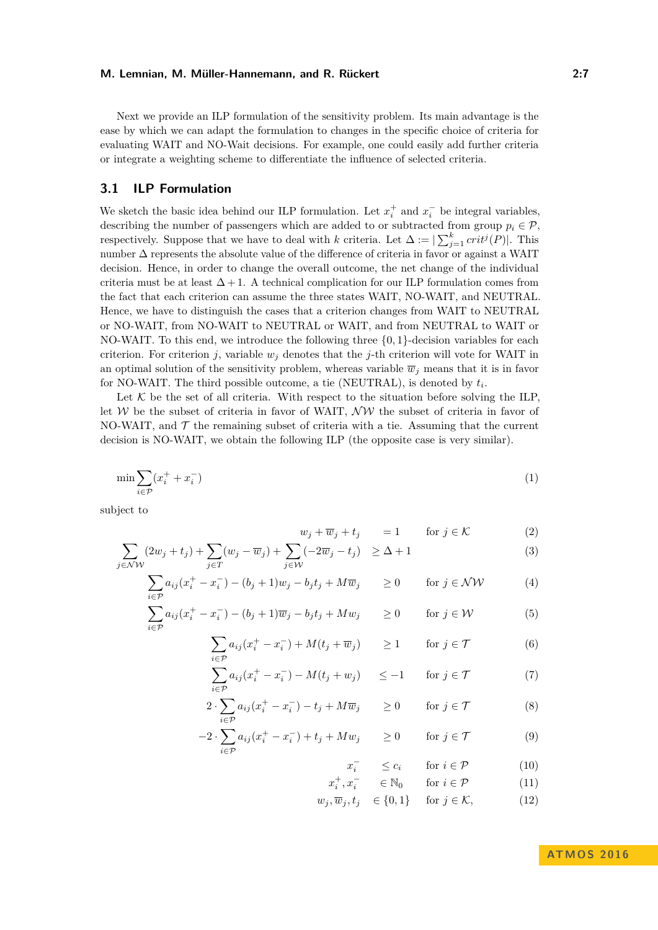Next we provide an ILP formulation of the sensitivity problem. Its main advantage is the ease by which we can adapt the formulation to changes in the specific choice of criteria for evaluating WAIT and NO-Wait decisions. For example, one could easily add further criteria or integrate a weighting scheme to differentiate the influence of selected criteria.

### **3.1 ILP Formulation**

We sketch the basic idea behind our ILP formulation. Let  $x_i^+$  and  $x_i^-$  be integral variables, describing the number of passengers which are added to or subtracted from group  $p_i \in \mathcal{P}$ , respectively. Suppose that we have to deal with *k* criteria. Let  $\Delta := \sum_{j=1}^{k} crit^{j}(P)$ . This number  $\Delta$  represents the absolute value of the difference of criteria in favor or against a WAIT decision. Hence, in order to change the overall outcome, the net change of the individual criteria must be at least  $\Delta + 1$ . A technical complication for our ILP formulation comes from the fact that each criterion can assume the three states WAIT, NO-WAIT, and NEUTRAL. Hence, we have to distinguish the cases that a criterion changes from WAIT to NEUTRAL or NO-WAIT, from NO-WAIT to NEUTRAL or WAIT, and from NEUTRAL to WAIT or NO-WAIT. To this end, we introduce the following three {0*,* 1}-decision variables for each criterion. For criterion *j*, variable  $w_j$  denotes that the *j*-th criterion will vote for WAIT in an optimal solution of the sensitivity problem, whereas variable  $\overline{w}_i$  means that it is in favor for NO-WAIT. The third possible outcome, a tie (NEUTRAL), is denoted by *t<sup>i</sup>* .

Let  $K$  be the set of all criteria. With respect to the situation before solving the ILP, let  $W$  be the subset of criteria in favor of WAIT,  $\mathcal{NW}$  the subset of criteria in favor of NO-WAIT, and  $\mathcal T$  the remaining subset of criteria with a tie. Assuming that the current decision is NO-WAIT, we obtain the following ILP (the opposite case is very similar).

$$
\min \sum_{i \in \mathcal{P}} (x_i^+ + x_i^-) \tag{1}
$$

subject to

<span id="page-6-0"></span>
$$
w_j + \overline{w}_j + t_j = 1 \quad \text{for } j \in \mathcal{K}
$$
 (2)

$$
\sum_{j \in \mathcal{NW}} (2w_j + t_j) + \sum_{j \in T} (w_j - \overline{w}_j) + \sum_{j \in \mathcal{W}} (-2\overline{w}_j - t_j) \ge \Delta + 1 \tag{3}
$$

$$
\sum_{i \in \mathcal{P}} a_{ij} (x_i^+ - x_i^-) - (b_j + 1) w_j - b_j t_j + M \overline{w}_j \ge 0 \quad \text{for } j \in \mathcal{NW}
$$
\n
$$
\sum_{i \in \mathcal{P}} a_{ij} (x_i^+ - x_i^-) - (b_{ij} + 1) \overline{w}_{ij} - b_j t_j + M \overline{w}_j \ge 0 \quad \text{for } j \in \mathcal{W} \tag{5}
$$

$$
\sum_{i \in \mathcal{P}} a_{ij} (x_i^+ - x_i^-) - (b_j + 1)\overline{w}_j - b_j t_j + M w_j \qquad \ge 0 \qquad \text{for } j \in \mathcal{W} \tag{5}
$$

$$
\sum_{i \in \mathcal{P}} a_{ij} (x_i^+ - x_i^-) + M(t_j + \overline{w}_j) \ge 1 \quad \text{for } j \in \mathcal{T}
$$
 (6)

$$
\sum_{i \in \mathcal{P}} a_{ij} (x_i^+ - x_i^-) - M(t_j + w_j) \le -1 \quad \text{for } j \in \mathcal{T}
$$
 (7)

$$
2 \cdot \sum_{i \in \mathcal{P}} a_{ij} (x_i^+ - x_i^-) - t_j + M \overline{w}_j \qquad \ge 0 \qquad \text{for } j \in \mathcal{T}
$$
 (8)

$$
-2 \cdot \sum_{i \in \mathcal{P}} a_{ij} (x_i^+ - x_i^-) + t_j + M w_j \qquad \ge 0 \qquad \text{for } j \in \mathcal{T}
$$
 (9)

$$
x_i^- \le c_i \quad \text{for } i \in \mathcal{P} \tag{10}
$$

$$
x_i^+, x_i^- \qquad \in \mathbb{N}_0 \qquad \text{for } i \in \mathcal{P} \tag{11}
$$

$$
w_j, \overline{w}_j, t_j \in \{0, 1\} \quad \text{for } j \in \mathcal{K}, \tag{12}
$$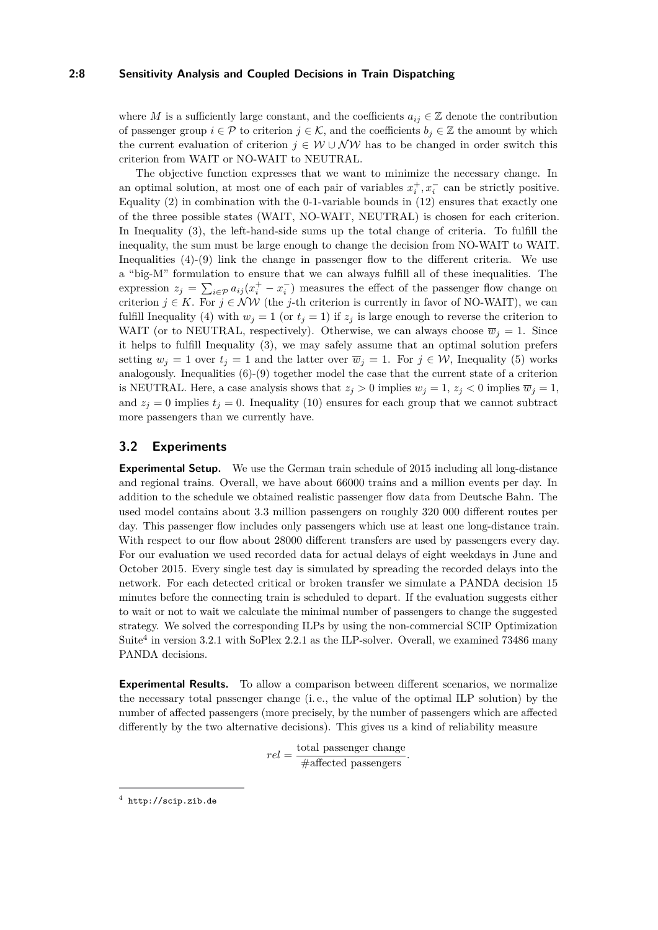#### **2:8 Sensitivity Analysis and Coupled Decisions in Train Dispatching**

where *M* is a sufficiently large constant, and the coefficients  $a_{ij} \in \mathbb{Z}$  denote the contribution of passenger group  $i \in \mathcal{P}$  to criterion  $j \in \mathcal{K}$ , and the coefficients  $b_j \in \mathbb{Z}$  the amount by which the current evaluation of criterion  $j \in W \cup \mathcal{NW}$  has to be changed in order switch this criterion from WAIT or NO-WAIT to NEUTRAL.

The objective function expresses that we want to minimize the necessary change. In an optimal solution, at most one of each pair of variables  $x_i^+, x_i^-$  can be strictly positive. Equality  $(2)$  in combination with the 0-1-variable bounds in  $(12)$  ensures that exactly one of the three possible states (WAIT, NO-WAIT, NEUTRAL) is chosen for each criterion. In Inequality [\(3\)](#page-6-0), the left-hand-side sums up the total change of criteria. To fulfill the inequality, the sum must be large enough to change the decision from NO-WAIT to WAIT. Inequalities  $(4)-(9)$  $(4)-(9)$  $(4)-(9)$  link the change in passenger flow to the different criteria. We use a "big-M" formulation to ensure that we can always fulfill all of these inequalities. The expression  $z_j = \sum_{i \in \mathcal{P}} a_{ij} (x_i^+ - x_i^-)$  measures the effect of the passenger flow change on criterion  $j \in K$ . For  $j \in \mathcal{NW}$  (the *j*-th criterion is currently in favor of NO-WAIT), we can fulfill Inequality [\(4\)](#page-6-0) with  $w_j = 1$  (or  $t_j = 1$ ) if  $z_j$  is large enough to reverse the criterion to WAIT (or to NEUTRAL, respectively). Otherwise, we can always choose  $\overline{w}_j = 1$ . Since it helps to fulfill Inequality [\(3\)](#page-6-0), we may safely assume that an optimal solution prefers setting  $w_j = 1$  over  $t_j = 1$  and the latter over  $\overline{w}_j = 1$ . For  $j \in \mathcal{W}$ , Inequality [\(5\)](#page-6-0) works analogously. Inequalities  $(6)-(9)$  $(6)-(9)$  $(6)-(9)$  together model the case that the current state of a criterion is NEUTRAL. Here, a case analysis shows that  $z_j > 0$  implies  $w_j = 1$ ,  $z_j < 0$  implies  $\overline{w}_j = 1$ , and  $z_j = 0$  implies  $t_j = 0$ . Inequality [\(10\)](#page-6-0) ensures for each group that we cannot subtract more passengers than we currently have.

# **3.2 Experiments**

**Experimental Setup.** We use the German train schedule of 2015 including all long-distance and regional trains. Overall, we have about 66000 trains and a million events per day. In addition to the schedule we obtained realistic passenger flow data from Deutsche Bahn. The used model contains about 3.3 million passengers on roughly 320 000 different routes per day. This passenger flow includes only passengers which use at least one long-distance train. With respect to our flow about 28000 different transfers are used by passengers every day. For our evaluation we used recorded data for actual delays of eight weekdays in June and October 2015. Every single test day is simulated by spreading the recorded delays into the network. For each detected critical or broken transfer we simulate a PANDA decision 15 minutes before the connecting train is scheduled to depart. If the evaluation suggests either to wait or not to wait we calculate the minimal number of passengers to change the suggested strategy. We solved the corresponding ILPs by using the non-commercial SCIP Optimization Suite<sup>[4](#page-7-0)</sup> in version 3.2.1 with SoPlex 2.2.1 as the ILP-solver. Overall, we examined 73486 many PANDA decisions.

**Experimental Results.** To allow a comparison between different scenarios, we normalize the necessary total passenger change (i. e., the value of the optimal ILP solution) by the number of affected passengers (more precisely, by the number of passengers which are affected differently by the two alternative decisions). This gives us a kind of reliability measure

 $rel = \frac{\text{total passenger change}}{\# \text{affected passengers}}.$ 

<span id="page-7-0"></span> $^4$  <http://scip.zib.de>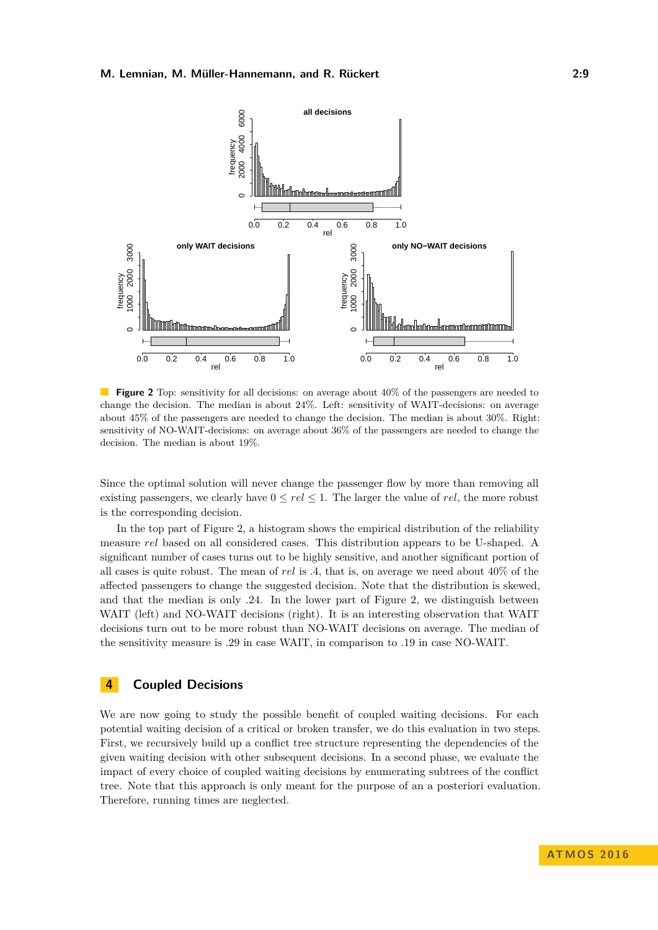<span id="page-8-1"></span>

**Figure 2** Top: sensitivity for all decisions: on average about 40% of the passengers are needed to change the decision. The median is about 24%. Left: sensitivity of WAIT-decisions: on average about 45% of the passengers are needed to change the decision. The median is about 30%. Right: sensitivity of NO-WAIT-decisions: on average about 36% of the passengers are needed to change the decision. The median is about 19%.

Since the optimal solution will never change the passenger flow by more than removing all existing passengers, we clearly have  $0 \le rel \le 1$ . The larger the value of *rel*, the more robust is the corresponding decision.

In the top part of Figure [2,](#page-8-1) a histogram shows the empirical distribution of the reliability measure *rel* based on all considered cases. This distribution appears to be U-shaped. A significant number of cases turns out to be highly sensitive, and another significant portion of all cases is quite robust. The mean of *rel* is *.*4, that is, on average we need about 40% of the affected passengers to change the suggested decision. Note that the distribution is skewed, and that the median is only *.*24. In the lower part of Figure [2,](#page-8-1) we distinguish between WAIT (left) and NO-WAIT decisions (right). It is an interesting observation that WAIT decisions turn out to be more robust than NO-WAIT decisions on average. The median of the sensitivity measure is .29 in case WAIT, in comparison to .19 in case NO-WAIT.

# <span id="page-8-0"></span>**4 Coupled Decisions**

We are now going to study the possible benefit of coupled waiting decisions. For each potential waiting decision of a critical or broken transfer, we do this evaluation in two steps. First, we recursively build up a conflict tree structure representing the dependencies of the given waiting decision with other subsequent decisions. In a second phase, we evaluate the impact of every choice of coupled waiting decisions by enumerating subtrees of the conflict tree. Note that this approach is only meant for the purpose of an a posteriori evaluation. Therefore, running times are neglected.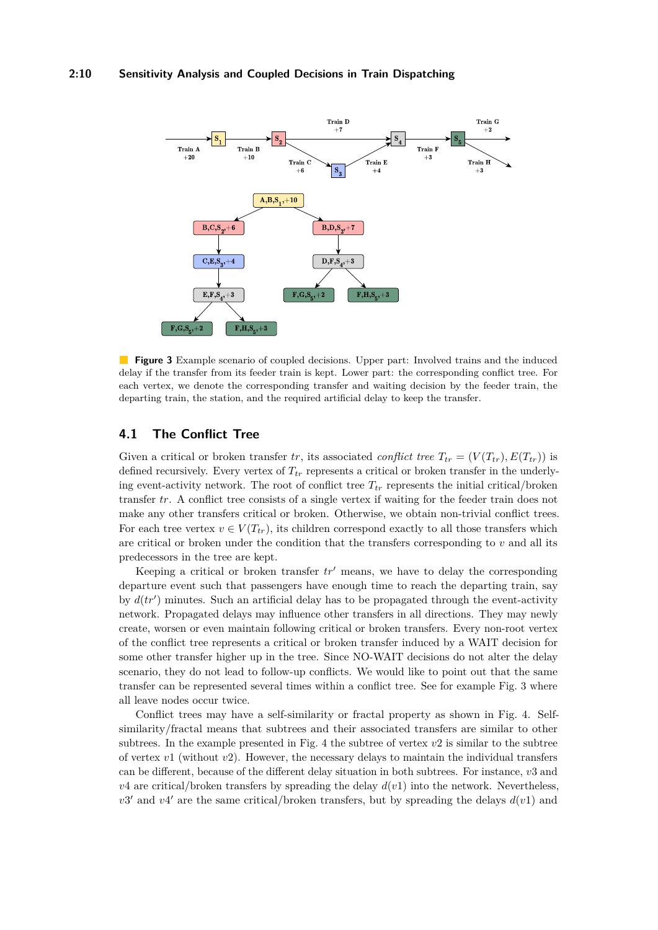#### **2:10 Sensitivity Analysis and Coupled Decisions in Train Dispatching**

<span id="page-9-0"></span>

**Figure 3** Example scenario of coupled decisions. Upper part: Involved trains and the induced delay if the transfer from its feeder train is kept. Lower part: the corresponding conflict tree. For each vertex, we denote the corresponding transfer and waiting decision by the feeder train, the departing train, the station, and the required artificial delay to keep the transfer.

# **4.1 The Conflict Tree**

Given a critical or broken transfer *tr*, its associated *conflict tree*  $T_{tr} = (V(T_{tr}), E(T_{tr}))$  is defined recursively. Every vertex of  $T_{tr}$  represents a critical or broken transfer in the underlying event-activity network. The root of conflict tree  $T_{tr}$  represents the initial critical/broken transfer *tr*. A conflict tree consists of a single vertex if waiting for the feeder train does not make any other transfers critical or broken. Otherwise, we obtain non-trivial conflict trees. For each tree vertex  $v \in V(T_{tr})$ , its children correspond exactly to all those transfers which are critical or broken under the condition that the transfers corresponding to *v* and all its predecessors in the tree are kept.

Keeping a critical or broken transfer  $tr'$  means, we have to delay the corresponding departure event such that passengers have enough time to reach the departing train, say by  $d(tr')$  minutes. Such an artificial delay has to be propagated through the event-activity network. Propagated delays may influence other transfers in all directions. They may newly create, worsen or even maintain following critical or broken transfers. Every non-root vertex of the conflict tree represents a critical or broken transfer induced by a WAIT decision for some other transfer higher up in the tree. Since NO-WAIT decisions do not alter the delay scenario, they do not lead to follow-up conflicts. We would like to point out that the same transfer can be represented several times within a conflict tree. See for example Fig. [3](#page-9-0) where all leave nodes occur twice.

Conflict trees may have a self-similarity or fractal property as shown in Fig. [4.](#page-10-0) Selfsimilarity/fractal means that subtrees and their associated transfers are similar to other subtrees. In the example presented in Fig. [4](#page-10-0) the subtree of vertex *v*2 is similar to the subtree of vertex *v*1 (without *v*2). However, the necessary delays to maintain the individual transfers can be different, because of the different delay situation in both subtrees. For instance, *v*3 and  $v^4$  are critical/broken transfers by spreading the delay  $d(v)$  into the network. Nevertheless,  $v3'$  and  $v4'$  are the same critical/broken transfers, but by spreading the delays  $d(v1)$  and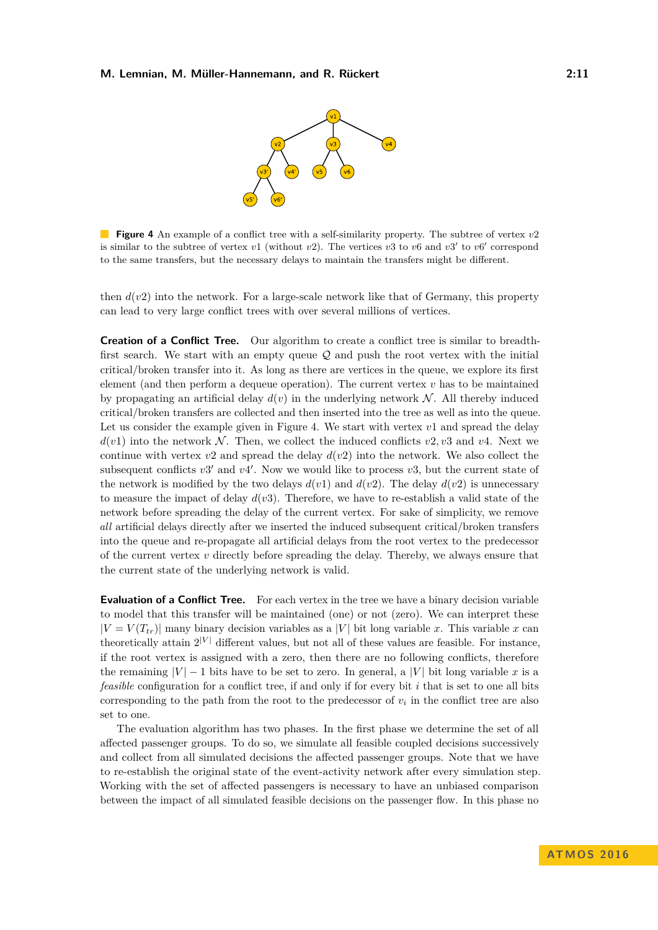

<span id="page-10-0"></span>**Figure 4** An example of a conflict tree with a self-similarity property. The subtree of vertex *v*2 is similar to the subtree of vertex  $v1$  (without  $v2$ ). The vertices  $v3$  to  $v6$  and  $v3'$  to  $v6'$  correspond to the same transfers, but the necessary delays to maintain the transfers might be different.

then  $d(v2)$  into the network. For a large-scale network like that of Germany, this property can lead to very large conflict trees with over several millions of vertices.

**Creation of a Conflict Tree.** Our algorithm to create a conflict tree is similar to breadthfirst search. We start with an empty queue  $Q$  and push the root vertex with the initial critical/broken transfer into it. As long as there are vertices in the queue, we explore its first element (and then perform a dequeue operation). The current vertex *v* has to be maintained by propagating an artificial delay  $d(v)$  in the underlying network N. All thereby induced critical/broken transfers are collected and then inserted into the tree as well as into the queue. Let us consider the example given in Figure [4.](#page-10-0) We start with vertex  $v1$  and spread the delay  $d(v1)$  into the network N. Then, we collect the induced conflicts  $v2, v3$  and  $v4$ . Next we continue with vertex  $v2$  and spread the delay  $d(v2)$  into the network. We also collect the subsequent conflicts  $v3'$  and  $v4'$ . Now we would like to process  $v3$ , but the current state of the network is modified by the two delays  $d(v1)$  and  $d(v2)$ . The delay  $d(v2)$  is unnecessary to measure the impact of delay  $d(v3)$ . Therefore, we have to re-establish a valid state of the network before spreading the delay of the current vertex. For sake of simplicity, we remove *all* artificial delays directly after we inserted the induced subsequent critical/broken transfers into the queue and re-propagate all artificial delays from the root vertex to the predecessor of the current vertex *v* directly before spreading the delay. Thereby, we always ensure that the current state of the underlying network is valid.

**Evaluation of a Conflict Tree.** For each vertex in the tree we have a binary decision variable to model that this transfer will be maintained (one) or not (zero). We can interpret these  $|V = V(T_{tr})|$  many binary decision variables as a |*V*| bit long variable *x*. This variable *x* can theoretically attain  $2^{|V|}$  different values, but not all of these values are feasible. For instance, if the root vertex is assigned with a zero, then there are no following conflicts, therefore the remaining  $|V| - 1$  bits have to be set to zero. In general, a  $|V|$  bit long variable x is a *feasible* configuration for a conflict tree, if and only if for every bit *i* that is set to one all bits corresponding to the path from the root to the predecessor of  $v_i$  in the conflict tree are also set to one.

The evaluation algorithm has two phases. In the first phase we determine the set of all affected passenger groups. To do so, we simulate all feasible coupled decisions successively and collect from all simulated decisions the affected passenger groups. Note that we have to re-establish the original state of the event-activity network after every simulation step. Working with the set of affected passengers is necessary to have an unbiased comparison between the impact of all simulated feasible decisions on the passenger flow. In this phase no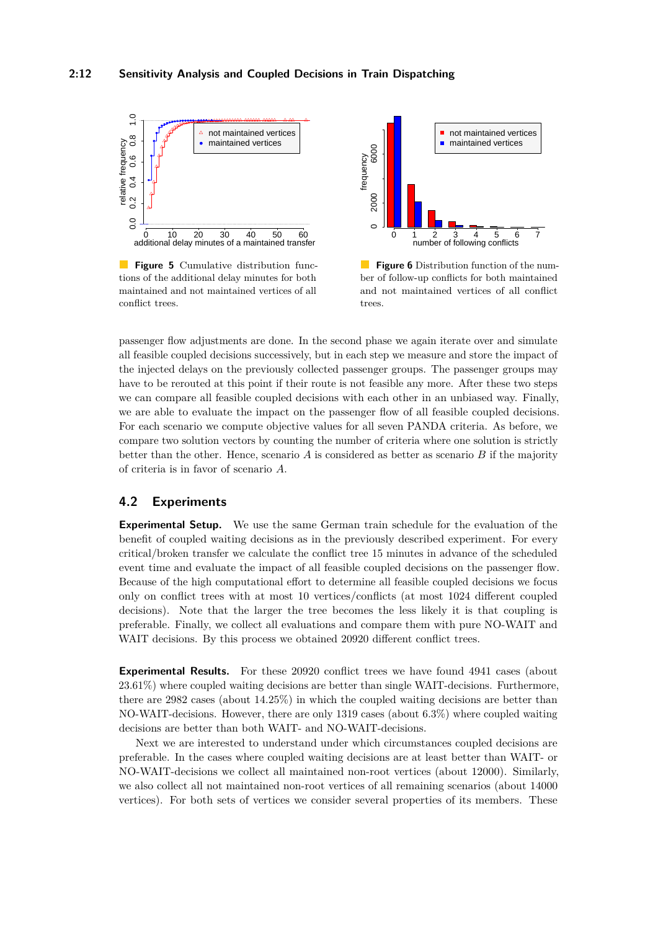<span id="page-11-0"></span>

**Figure 5** Cumulative distribution functions of the additional delay minutes for both maintained and not maintained vertices of all conflict trees.



**Figure 6** Distribution function of the number of follow-up conflicts for both maintained and not maintained vertices of all conflict trees.

passenger flow adjustments are done. In the second phase we again iterate over and simulate all feasible coupled decisions successively, but in each step we measure and store the impact of the injected delays on the previously collected passenger groups. The passenger groups may have to be rerouted at this point if their route is not feasible any more. After these two steps we can compare all feasible coupled decisions with each other in an unbiased way. Finally, we are able to evaluate the impact on the passenger flow of all feasible coupled decisions. For each scenario we compute objective values for all seven PANDA criteria. As before, we compare two solution vectors by counting the number of criteria where one solution is strictly better than the other. Hence, scenario *A* is considered as better as scenario *B* if the majority of criteria is in favor of scenario *A*.

### **4.2 Experiments**

**Experimental Setup.** We use the same German train schedule for the evaluation of the benefit of coupled waiting decisions as in the previously described experiment. For every critical/broken transfer we calculate the conflict tree 15 minutes in advance of the scheduled event time and evaluate the impact of all feasible coupled decisions on the passenger flow. Because of the high computational effort to determine all feasible coupled decisions we focus only on conflict trees with at most 10 vertices/conflicts (at most 1024 different coupled decisions). Note that the larger the tree becomes the less likely it is that coupling is preferable. Finally, we collect all evaluations and compare them with pure NO-WAIT and WAIT decisions. By this process we obtained 20920 different conflict trees.

**Experimental Results.** For these 20920 conflict trees we have found 4941 cases (about 23.61%) where coupled waiting decisions are better than single WAIT-decisions. Furthermore, there are 2982 cases (about 14.25%) in which the coupled waiting decisions are better than NO-WAIT-decisions. However, there are only 1319 cases (about 6.3%) where coupled waiting decisions are better than both WAIT- and NO-WAIT-decisions.

Next we are interested to understand under which circumstances coupled decisions are preferable. In the cases where coupled waiting decisions are at least better than WAIT- or NO-WAIT-decisions we collect all maintained non-root vertices (about 12000). Similarly, we also collect all not maintained non-root vertices of all remaining scenarios (about 14000 vertices). For both sets of vertices we consider several properties of its members. These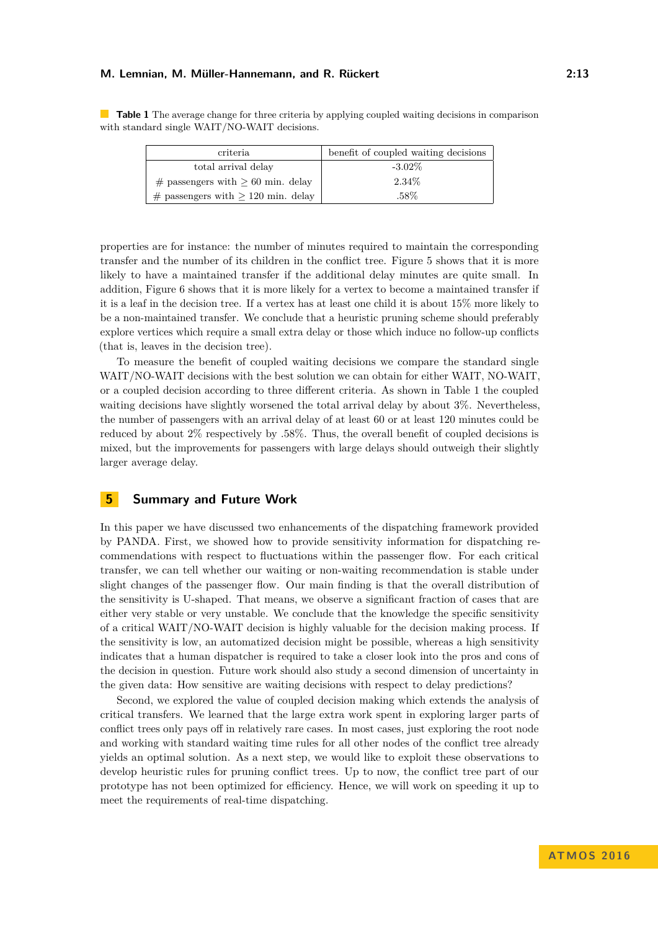<span id="page-12-1"></span>**Table 1** The average change for three criteria by applying coupled waiting decisions in comparison with standard single WAIT/NO-WAIT decisions.

| criteria                                | benefit of coupled waiting decisions |
|-----------------------------------------|--------------------------------------|
| total arrival delay                     | $-3.02\%$                            |
| $\#$ passengers with $> 60$ min. delay  | $2.34\%$                             |
| $\#$ passengers with $> 120$ min. delay | .58%                                 |

properties are for instance: the number of minutes required to maintain the corresponding transfer and the number of its children in the conflict tree. Figure [5](#page-11-0) shows that it is more likely to have a maintained transfer if the additional delay minutes are quite small. In addition, Figure [6](#page-11-0) shows that it is more likely for a vertex to become a maintained transfer if it is a leaf in the decision tree. If a vertex has at least one child it is about 15% more likely to be a non-maintained transfer. We conclude that a heuristic pruning scheme should preferably explore vertices which require a small extra delay or those which induce no follow-up conflicts (that is, leaves in the decision tree).

To measure the benefit of coupled waiting decisions we compare the standard single WAIT/NO-WAIT decisions with the best solution we can obtain for either WAIT, NO-WAIT, or a coupled decision according to three different criteria. As shown in Table [1](#page-12-1) the coupled waiting decisions have slightly worsened the total arrival delay by about 3%. Nevertheless, the number of passengers with an arrival delay of at least 60 or at least 120 minutes could be reduced by about 2% respectively by .58%. Thus, the overall benefit of coupled decisions is mixed, but the improvements for passengers with large delays should outweigh their slightly larger average delay.

### <span id="page-12-0"></span>**5 Summary and Future Work**

In this paper we have discussed two enhancements of the dispatching framework provided by PANDA. First, we showed how to provide sensitivity information for dispatching recommendations with respect to fluctuations within the passenger flow. For each critical transfer, we can tell whether our waiting or non-waiting recommendation is stable under slight changes of the passenger flow. Our main finding is that the overall distribution of the sensitivity is U-shaped. That means, we observe a significant fraction of cases that are either very stable or very unstable. We conclude that the knowledge the specific sensitivity of a critical WAIT/NO-WAIT decision is highly valuable for the decision making process. If the sensitivity is low, an automatized decision might be possible, whereas a high sensitivity indicates that a human dispatcher is required to take a closer look into the pros and cons of the decision in question. Future work should also study a second dimension of uncertainty in the given data: How sensitive are waiting decisions with respect to delay predictions?

Second, we explored the value of coupled decision making which extends the analysis of critical transfers. We learned that the large extra work spent in exploring larger parts of conflict trees only pays off in relatively rare cases. In most cases, just exploring the root node and working with standard waiting time rules for all other nodes of the conflict tree already yields an optimal solution. As a next step, we would like to exploit these observations to develop heuristic rules for pruning conflict trees. Up to now, the conflict tree part of our prototype has not been optimized for efficiency. Hence, we will work on speeding it up to meet the requirements of real-time dispatching.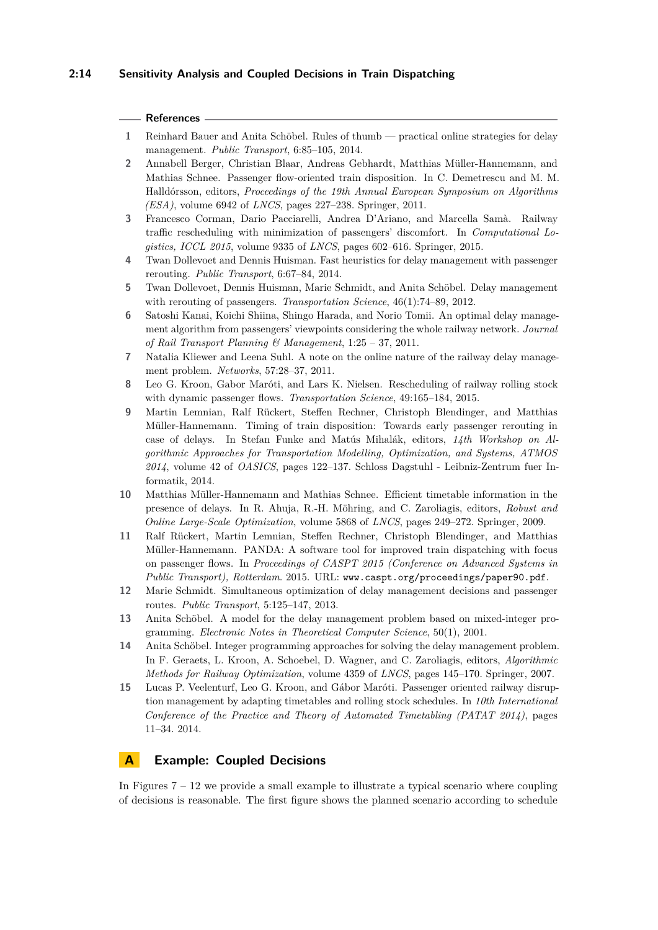### **2:14 Sensitivity Analysis and Coupled Decisions in Train Dispatching**

#### **References**

- <span id="page-13-10"></span>**1** Reinhard Bauer and Anita Schöbel. Rules of thumb — practical online strategies for delay management. *Public Transport*, 6:85–105, 2014.
- <span id="page-13-14"></span>**2** Annabell Berger, Christian Blaar, Andreas Gebhardt, Matthias Müller-Hannemann, and Mathias Schnee. Passenger flow-oriented train disposition. In C. Demetrescu and M. M. Halldórsson, editors, *Proceedings of the 19th Annual European Symposium on Algorithms (ESA)*, volume 6942 of *LNCS*, pages 227–238. Springer, 2011.
- <span id="page-13-8"></span>**3** Francesco Corman, Dario Pacciarelli, Andrea D'Ariano, and Marcella Samà. Railway traffic rescheduling with minimization of passengers' discomfort. In *Computational Logistics, ICCL 2015*, volume 9335 of *LNCS*, pages 602–616. Springer, 2015.
- <span id="page-13-5"></span>**4** Twan Dollevoet and Dennis Huisman. Fast heuristics for delay management with passenger rerouting. *Public Transport*, 6:67–84, 2014.
- <span id="page-13-4"></span>**5** Twan Dollevoet, Dennis Huisman, Marie Schmidt, and Anita Schöbel. Delay management with rerouting of passengers. *Transportation Science*, 46(1):74–89, 2012.
- <span id="page-13-7"></span>**6** Satoshi Kanai, Koichi Shiina, Shingo Harada, and Norio Tomii. An optimal delay management algorithm from passengers' viewpoints considering the whole railway network. *Journal of Rail Transport Planning & Management*, 1:25 – 37, 2011.
- <span id="page-13-9"></span>**7** Natalia Kliewer and Leena Suhl. A note on the online nature of the railway delay management problem. *Networks*, 57:28–37, 2011.
- <span id="page-13-12"></span>**8** Leo G. Kroon, Gabor Maróti, and Lars K. Nielsen. Rescheduling of railway rolling stock with dynamic passenger flows. *Transportation Science*, 49:165–184, 2015.
- <span id="page-13-11"></span>**9** Martin Lemnian, Ralf Rückert, Steffen Rechner, Christoph Blendinger, and Matthias Müller-Hannemann. Timing of train disposition: Towards early passenger rerouting in case of delays. In Stefan Funke and Matús Mihalák, editors, *14th Workshop on Algorithmic Approaches for Transportation Modelling, Optimization, and Systems, ATMOS 2014*, volume 42 of *OASICS*, pages 122–137. Schloss Dagstuhl - Leibniz-Zentrum fuer Informatik, 2014.
- <span id="page-13-15"></span>**10** Matthias Müller-Hannemann and Mathias Schnee. Efficient timetable information in the presence of delays. In R. Ahuja, R.-H. Möhring, and C. Zaroliagis, editors, *Robust and Online Large-Scale Optimization*, volume 5868 of *LNCS*, pages 249–272. Springer, 2009.
- <span id="page-13-0"></span>**11** Ralf Rückert, Martin Lemnian, Steffen Rechner, Christoph Blendinger, and Matthias Müller-Hannemann. PANDA: A software tool for improved train dispatching with focus on passenger flows. In *Proceedings of CASPT 2015 (Conference on Advanced Systems in Public Transport), Rotterdam*. 2015. URL: <www.caspt.org/proceedings/paper90.pdf>.
- <span id="page-13-6"></span>**12** Marie Schmidt. Simultaneous optimization of delay management decisions and passenger routes. *Public Transport*, 5:125–147, 2013.
- <span id="page-13-2"></span>**13** Anita Schöbel. A model for the delay management problem based on mixed-integer programming. *Electronic Notes in Theoretical Computer Science*, 50(1), 2001.
- <span id="page-13-3"></span>**14** Anita Schöbel. Integer programming approaches for solving the delay management problem. In F. Geraets, L. Kroon, A. Schoebel, D. Wagner, and C. Zaroliagis, editors, *Algorithmic Methods for Railway Optimization*, volume 4359 of *LNCS*, pages 145–170. Springer, 2007.
- <span id="page-13-13"></span>**15** Lucas P. Veelenturf, Leo G. Kroon, and Gábor Maróti. Passenger oriented railway disruption management by adapting timetables and rolling stock schedules. In *10th International Conference of the Practice and Theory of Automated Timetabling (PATAT 2014)*, pages 11–34. 2014.

## <span id="page-13-1"></span>**A Example: Coupled Decisions**

In Figures  $7 - 12$  $7 - 12$  we provide a small example to illustrate a typical scenario where coupling of decisions is reasonable. The first figure shows the planned scenario according to schedule